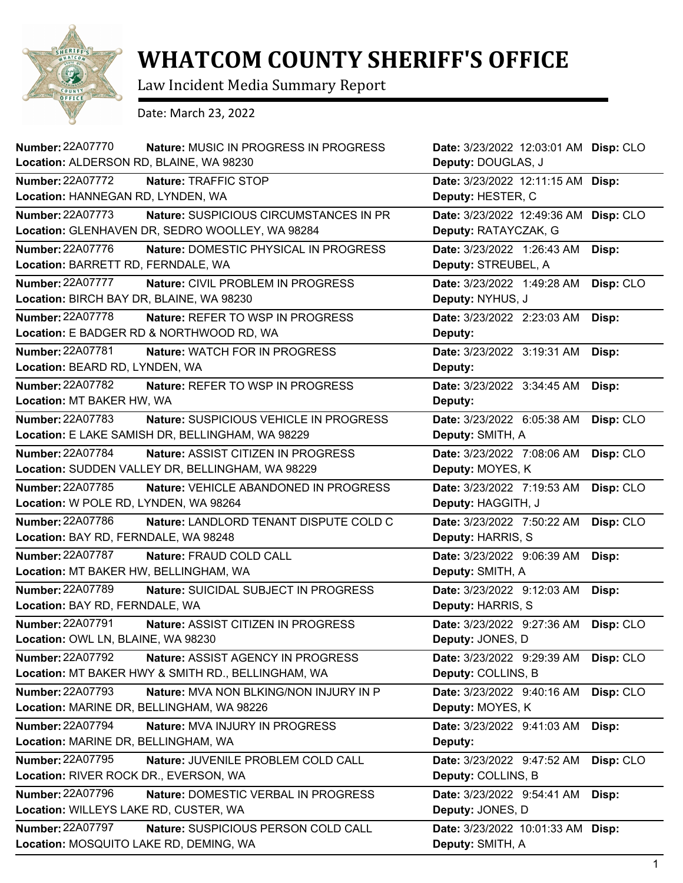

## **WHATCOM COUNTY SHERIFF'S OFFICE**

Law Incident Media Summary Report

Date: March 23, 2022

| <b>Number: 22A07770</b><br>Location: ALDERSON RD, BLAINE, WA 98230 | Nature: MUSIC IN PROGRESS IN PROGRESS              | Date: 3/23/2022 12:03:01 AM Disp: CLO<br>Deputy: DOUGLAS, J |           |
|--------------------------------------------------------------------|----------------------------------------------------|-------------------------------------------------------------|-----------|
| <b>Number: 22A07772</b>                                            | Nature: TRAFFIC STOP                               | Date: 3/23/2022 12:11:15 AM Disp:                           |           |
| Location: HANNEGAN RD, LYNDEN, WA                                  |                                                    | Deputy: HESTER, C                                           |           |
| <b>Number: 22A07773</b>                                            | Nature: SUSPICIOUS CIRCUMSTANCES IN PR             | Date: 3/23/2022 12:49:36 AM                                 | Disp: CLO |
|                                                                    | Location: GLENHAVEN DR, SEDRO WOOLLEY, WA 98284    | Deputy: RATAYCZAK, G                                        |           |
| Number: 22A07776                                                   | Nature: DOMESTIC PHYSICAL IN PROGRESS              | Date: 3/23/2022 1:26:43 AM                                  | Disp:     |
| Location: BARRETT RD, FERNDALE, WA                                 |                                                    | Deputy: STREUBEL, A                                         |           |
| <b>Number: 22A07777</b>                                            | Nature: CIVIL PROBLEM IN PROGRESS                  | Date: 3/23/2022 1:49:28 AM                                  | Disp: CLO |
| Location: BIRCH BAY DR, BLAINE, WA 98230                           |                                                    | Deputy: NYHUS, J                                            |           |
| Number: 22A07778                                                   | Nature: REFER TO WSP IN PROGRESS                   | Date: 3/23/2022 2:23:03 AM                                  | Disp:     |
|                                                                    | Location: E BADGER RD & NORTHWOOD RD, WA           | Deputy:                                                     |           |
| Number: 22A07781                                                   | <b>Nature: WATCH FOR IN PROGRESS</b>               | Date: 3/23/2022 3:19:31 AM                                  | Disp:     |
| Location: BEARD RD, LYNDEN, WA                                     |                                                    | Deputy:                                                     |           |
| Number: 22A07782                                                   | Nature: REFER TO WSP IN PROGRESS                   | Date: 3/23/2022 3:34:45 AM                                  | Disp:     |
| Location: MT BAKER HW, WA                                          |                                                    | Deputy:                                                     |           |
| Number: 22A07783                                                   | Nature: SUSPICIOUS VEHICLE IN PROGRESS             | Date: 3/23/2022 6:05:38 AM                                  | Disp: CLO |
|                                                                    | Location: E LAKE SAMISH DR, BELLINGHAM, WA 98229   | Deputy: SMITH, A                                            |           |
| <b>Number: 22A07784</b>                                            | <b>Nature: ASSIST CITIZEN IN PROGRESS</b>          | Date: 3/23/2022 7:08:06 AM                                  | Disp: CLO |
|                                                                    | Location: SUDDEN VALLEY DR, BELLINGHAM, WA 98229   | Deputy: MOYES, K                                            |           |
| <b>Number: 22A07785</b>                                            | Nature: VEHICLE ABANDONED IN PROGRESS              | Date: 3/23/2022 7:19:53 AM                                  | Disp: CLO |
| Location: W POLE RD, LYNDEN, WA 98264                              |                                                    | Deputy: HAGGITH, J                                          |           |
| <b>Number: 22A07786</b>                                            | Nature: LANDLORD TENANT DISPUTE COLD C             | Date: 3/23/2022 7:50:22 AM                                  | Disp: CLO |
| Location: BAY RD, FERNDALE, WA 98248                               |                                                    | Deputy: HARRIS, S                                           |           |
| <b>Number: 22A07787</b>                                            | Nature: FRAUD COLD CALL                            | Date: 3/23/2022 9:06:39 AM                                  | Disp:     |
| Location: MT BAKER HW, BELLINGHAM, WA                              |                                                    | Deputy: SMITH, A                                            |           |
| Number: 22A07789                                                   | Nature: SUICIDAL SUBJECT IN PROGRESS               | Date: 3/23/2022 9:12:03 AM                                  | Disp:     |
| Location: BAY RD, FERNDALE, WA                                     |                                                    | Deputy: HARRIS, S                                           |           |
| <b>Number: 22A07791</b>                                            | Nature: ASSIST CITIZEN IN PROGRESS                 | Date: 3/23/2022 9:27:36 AM                                  | Disp: CLO |
| Location: OWL LN, BLAINE, WA 98230                                 |                                                    | Deputy: JONES, D                                            |           |
| Number: 22A07792                                                   | Nature: ASSIST AGENCY IN PROGRESS                  | Date: 3/23/2022 9:29:39 AM                                  | Disp: CLO |
|                                                                    | Location: MT BAKER HWY & SMITH RD., BELLINGHAM, WA | Deputy: COLLINS, B                                          |           |
| <b>Number: 22A07793</b>                                            | Nature: MVA NON BLKING/NON INJURY IN P             | Date: 3/23/2022 9:40:16 AM                                  | Disp: CLO |
|                                                                    | Location: MARINE DR, BELLINGHAM, WA 98226          | Deputy: MOYES, K                                            |           |
| Number: 22A07794                                                   | Nature: MVA INJURY IN PROGRESS                     | Date: 3/23/2022 9:41:03 AM                                  | Disp:     |
| Location: MARINE DR, BELLINGHAM, WA                                |                                                    | Deputy:                                                     |           |
| <b>Number: 22A07795</b>                                            | Nature: JUVENILE PROBLEM COLD CALL                 | Date: 3/23/2022 9:47:52 AM                                  | Disp: CLO |
| Location: RIVER ROCK DR., EVERSON, WA                              |                                                    | Deputy: COLLINS, B                                          |           |
| Number: 22A07796                                                   | Nature: DOMESTIC VERBAL IN PROGRESS                | Date: 3/23/2022 9:54:41 AM                                  | Disp:     |
| Location: WILLEYS LAKE RD, CUSTER, WA                              |                                                    | Deputy: JONES, D                                            |           |
| <b>Number: 22A07797</b>                                            | Nature: SUSPICIOUS PERSON COLD CALL                | Date: 3/23/2022 10:01:33 AM                                 | Disp:     |
| Location: MOSQUITO LAKE RD, DEMING, WA                             |                                                    | Deputy: SMITH, A                                            |           |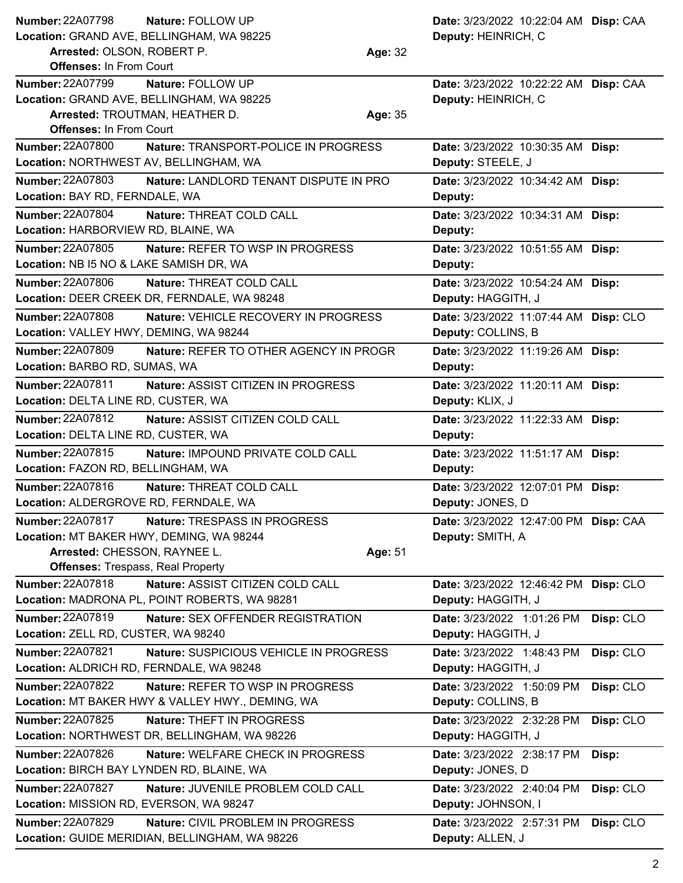| <b>Number: 22A07798</b><br>Nature: FOLLOW UP<br>Location: GRAND AVE, BELLINGHAM, WA 98225<br>Arrested: OLSON, ROBERT P.<br><b>Offenses: In From Court</b>                       | Date: 3/23/2022 10:22:04 AM Disp: CAA<br>Deputy: HEINRICH, C<br>Age: 32 |
|---------------------------------------------------------------------------------------------------------------------------------------------------------------------------------|-------------------------------------------------------------------------|
| <b>Number: 22A07799</b><br>Nature: FOLLOW UP<br>Location: GRAND AVE, BELLINGHAM, WA 98225<br>Arrested: TROUTMAN, HEATHER D.<br><b>Offenses: In From Court</b>                   | Date: 3/23/2022 10:22:22 AM Disp: CAA<br>Deputy: HEINRICH, C<br>Age: 35 |
| <b>Number: 22A07800</b><br>Nature: TRANSPORT-POLICE IN PROGRESS<br>Location: NORTHWEST AV, BELLINGHAM, WA                                                                       | Date: 3/23/2022 10:30:35 AM Disp:<br>Deputy: STEELE, J                  |
| <b>Number: 22A07803</b><br>Nature: LANDLORD TENANT DISPUTE IN PRO<br>Location: BAY RD, FERNDALE, WA                                                                             | Date: 3/23/2022 10:34:42 AM Disp:<br>Deputy:                            |
| Number: 22A07804<br>Nature: THREAT COLD CALL<br>Location: HARBORVIEW RD, BLAINE, WA                                                                                             | Date: 3/23/2022 10:34:31 AM Disp:<br>Deputy:                            |
| <b>Number: 22A07805</b><br><b>Nature: REFER TO WSP IN PROGRESS</b><br>Location: NB I5 NO & LAKE SAMISH DR, WA                                                                   | Date: 3/23/2022 10:51:55 AM Disp:<br>Deputy:                            |
| <b>Number: 22A07806</b><br>Nature: THREAT COLD CALL<br>Location: DEER CREEK DR, FERNDALE, WA 98248                                                                              | Date: 3/23/2022 10:54:24 AM Disp:<br>Deputy: HAGGITH, J                 |
| <b>Number: 22A07808</b><br>Nature: VEHICLE RECOVERY IN PROGRESS<br>Location: VALLEY HWY, DEMING, WA 98244                                                                       | Date: 3/23/2022 11:07:44 AM Disp: CLO<br>Deputy: COLLINS, B             |
| <b>Number: 22A07809</b><br>Nature: REFER TO OTHER AGENCY IN PROGR<br>Location: BARBO RD, SUMAS, WA                                                                              | Date: 3/23/2022 11:19:26 AM Disp:<br>Deputy:                            |
| <b>Number: 22A07811</b><br>Nature: ASSIST CITIZEN IN PROGRESS<br>Location: DELTA LINE RD, CUSTER, WA                                                                            | Date: 3/23/2022 11:20:11 AM Disp:<br>Deputy: KLIX, J                    |
| Number: 22A07812<br>Nature: ASSIST CITIZEN COLD CALL<br>Location: DELTA LINE RD, CUSTER, WA                                                                                     | Date: 3/23/2022 11:22:33 AM Disp:<br>Deputy:                            |
| Number: 22A07815<br>Nature: IMPOUND PRIVATE COLD CALL<br>Location: FAZON RD, BELLINGHAM, WA                                                                                     | Date: 3/23/2022 11:51:17 AM Disp:<br>Deputy:                            |
| Number: 22A07816<br>Nature: THREAT COLD CALL<br>Location: ALDERGROVE RD, FERNDALE, WA                                                                                           | Date: 3/23/2022 12:07:01 PM Disp:<br>Deputy: JONES, D                   |
| <b>Number: 22A07817</b><br>Nature: TRESPASS IN PROGRESS<br>Location: MT BAKER HWY, DEMING, WA 98244<br>Arrested: CHESSON, RAYNEE L.<br><b>Offenses: Trespass, Real Property</b> | Date: 3/23/2022 12:47:00 PM Disp: CAA<br>Deputy: SMITH, A<br>Age: 51    |
| Number: 22A07818<br>Nature: ASSIST CITIZEN COLD CALL<br>Location: MADRONA PL, POINT ROBERTS, WA 98281                                                                           | Date: 3/23/2022 12:46:42 PM Disp: CLO<br>Deputy: HAGGITH, J             |
| Number: 22A07819<br>Nature: SEX OFFENDER REGISTRATION<br>Location: ZELL RD, CUSTER, WA 98240                                                                                    | Date: 3/23/2022 1:01:26 PM<br>Disp: CLO<br>Deputy: HAGGITH, J           |
| <b>Number: 22A07821</b><br>Nature: SUSPICIOUS VEHICLE IN PROGRESS<br>Location: ALDRICH RD, FERNDALE, WA 98248                                                                   | Disp: CLO<br>Date: 3/23/2022 1:48:43 PM<br>Deputy: HAGGITH, J           |
| <b>Number: 22A07822</b><br>Nature: REFER TO WSP IN PROGRESS<br>Location: MT BAKER HWY & VALLEY HWY., DEMING, WA                                                                 | Date: 3/23/2022 1:50:09 PM<br>Disp: CLO<br>Deputy: COLLINS, B           |
| <b>Number: 22A07825</b><br>Nature: THEFT IN PROGRESS<br>Location: NORTHWEST DR, BELLINGHAM, WA 98226                                                                            | Date: 3/23/2022 2:32:28 PM<br>Disp: CLO<br>Deputy: HAGGITH, J           |
| <b>Number: 22A07826</b><br>Nature: WELFARE CHECK IN PROGRESS<br>Location: BIRCH BAY LYNDEN RD, BLAINE, WA                                                                       | Date: 3/23/2022 2:38:17 PM<br>Disp:<br>Deputy: JONES, D                 |
| <b>Number: 22A07827</b><br>Nature: JUVENILE PROBLEM COLD CALL<br>Location: MISSION RD, EVERSON, WA 98247                                                                        | Date: 3/23/2022 2:40:04 PM<br>Disp: CLO<br>Deputy: JOHNSON, I           |
| Number: 22A07829<br>Nature: CIVIL PROBLEM IN PROGRESS<br>Location: GUIDE MERIDIAN, BELLINGHAM, WA 98226                                                                         | Date: 3/23/2022 2:57:31 PM<br>Disp: CLO<br>Deputy: ALLEN, J             |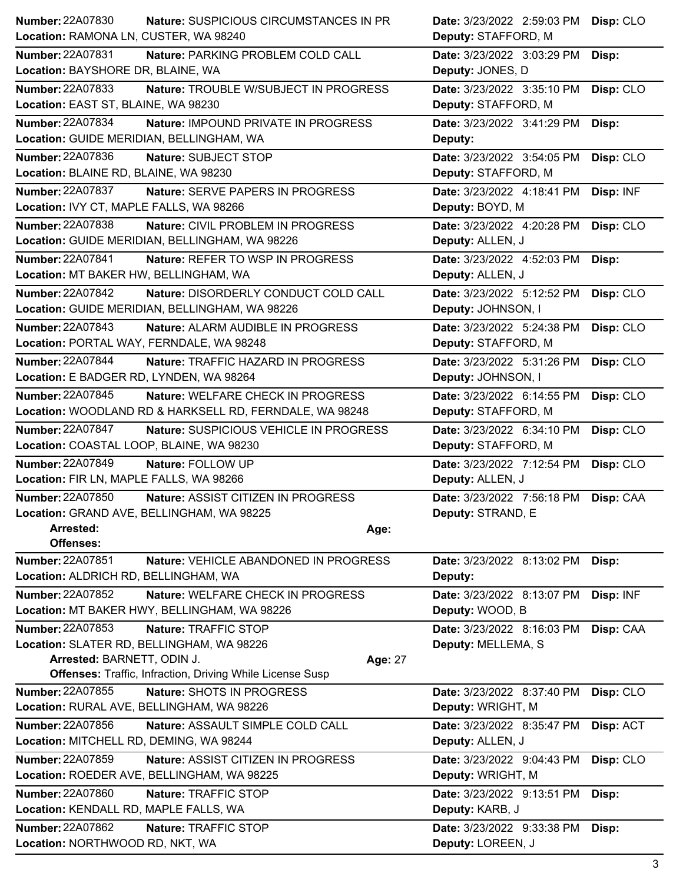| <b>Number: 22A07830</b>                                    | <b>Nature: SUSPICIOUS CIRCUMSTANCES IN PR</b>                    | Date: 3/23/2022 2:59:03 PM Disp: CLO            |           |
|------------------------------------------------------------|------------------------------------------------------------------|-------------------------------------------------|-----------|
| Location: RAMONA LN, CUSTER, WA 98240                      |                                                                  | Deputy: STAFFORD, M                             |           |
| <b>Number: 22A07831</b>                                    | Nature: PARKING PROBLEM COLD CALL                                | Date: 3/23/2022 3:03:29 PM                      | Disp:     |
| Location: BAYSHORE DR, BLAINE, WA                          |                                                                  | Deputy: JONES, D                                |           |
| Number: 22A07833                                           | Nature: TROUBLE W/SUBJECT IN PROGRESS                            | Date: 3/23/2022 3:35:10 PM                      | Disp: CLO |
| Location: EAST ST, BLAINE, WA 98230                        |                                                                  | Deputy: STAFFORD, M                             |           |
| Number: 22A07834                                           | Nature: IMPOUND PRIVATE IN PROGRESS                              | Date: 3/23/2022 3:41:29 PM                      | Disp:     |
| Location: GUIDE MERIDIAN, BELLINGHAM, WA                   |                                                                  | Deputy:                                         |           |
| Number: 22A07836                                           | Nature: SUBJECT STOP                                             | Date: 3/23/2022 3:54:05 PM                      | Disp: CLO |
| Location: BLAINE RD, BLAINE, WA 98230                      |                                                                  | Deputy: STAFFORD, M                             |           |
| Number: 22A07837                                           | Nature: SERVE PAPERS IN PROGRESS                                 | Date: 3/23/2022 4:18:41 PM                      | Disp: INF |
| Location: IVY CT, MAPLE FALLS, WA 98266                    |                                                                  | Deputy: BOYD, M                                 |           |
| <b>Number: 22A07838</b>                                    | Nature: CIVIL PROBLEM IN PROGRESS                                | Date: 3/23/2022 4:20:28 PM                      | Disp: CLO |
|                                                            | Location: GUIDE MERIDIAN, BELLINGHAM, WA 98226                   | Deputy: ALLEN, J                                |           |
| Number: 22A07841                                           | Nature: REFER TO WSP IN PROGRESS                                 | Date: 3/23/2022 4:52:03 PM                      | Disp:     |
| Location: MT BAKER HW, BELLINGHAM, WA                      |                                                                  | Deputy: ALLEN, J                                |           |
| <b>Number: 22A07842</b>                                    | Nature: DISORDERLY CONDUCT COLD CALL                             | Date: 3/23/2022 5:12:52 PM                      | Disp: CLO |
|                                                            | Location: GUIDE MERIDIAN, BELLINGHAM, WA 98226                   | Deputy: JOHNSON, I                              |           |
| <b>Number: 22A07843</b>                                    | Nature: ALARM AUDIBLE IN PROGRESS                                | Date: 3/23/2022 5:24:38 PM                      | Disp: CLO |
| Location: PORTAL WAY, FERNDALE, WA 98248                   |                                                                  | Deputy: STAFFORD, M                             |           |
| <b>Number: 22A07844</b>                                    | Nature: TRAFFIC HAZARD IN PROGRESS                               | Date: 3/23/2022 5:31:26 PM                      | Disp: CLO |
| Location: E BADGER RD, LYNDEN, WA 98264                    |                                                                  | Deputy: JOHNSON, I                              |           |
| Number: 22A07845                                           | Nature: WELFARE CHECK IN PROGRESS                                | Date: 3/23/2022 6:14:55 PM                      | Disp: CLO |
|                                                            | Location: WOODLAND RD & HARKSELL RD, FERNDALE, WA 98248          | Deputy: STAFFORD, M                             |           |
| <b>Number: 22A07847</b>                                    | Nature: SUSPICIOUS VEHICLE IN PROGRESS                           | Date: 3/23/2022 6:34:10 PM                      | Disp: CLO |
| Location: COASTAL LOOP, BLAINE, WA 98230                   |                                                                  | Deputy: STAFFORD, M                             |           |
| Number: 22A07849                                           | Nature: FOLLOW UP                                                | Date: 3/23/2022 7:12:54 PM                      | Disp: CLO |
| Location: FIR LN, MAPLE FALLS, WA 98266                    |                                                                  | Deputy: ALLEN, J                                |           |
| Number: 22A07850                                           | Nature: ASSIST CITIZEN IN PROGRESS                               | Date: 3/23/2022 7:56:18 PM Disp: CAA            |           |
|                                                            | Location: GRAND AVE, BELLINGHAM, WA 98225                        | Deputy: STRAND, E                               |           |
| Arrested:                                                  | Age:                                                             |                                                 |           |
| <b>Offenses:</b>                                           |                                                                  |                                                 |           |
| <b>Number: 22A07851</b>                                    | Nature: VEHICLE ABANDONED IN PROGRESS                            | Date: 3/23/2022 8:13:02 PM                      | Disp:     |
| Location: ALDRICH RD, BELLINGHAM, WA                       |                                                                  | Deputy:                                         |           |
| <b>Number: 22A07852</b>                                    | Nature: WELFARE CHECK IN PROGRESS                                | Date: 3/23/2022 8:13:07 PM                      | Disp: INF |
|                                                            | Location: MT BAKER HWY, BELLINGHAM, WA 98226                     | Deputy: WOOD, B                                 |           |
| <b>Number: 22A07853</b>                                    | Nature: TRAFFIC STOP                                             | Date: 3/23/2022 8:16:03 PM                      | Disp: CAA |
|                                                            | Location: SLATER RD, BELLINGHAM, WA 98226                        | Deputy: MELLEMA, S                              |           |
| Arrested: BARNETT, ODIN J.                                 | Age: 27                                                          |                                                 |           |
|                                                            | <b>Offenses: Traffic, Infraction, Driving While License Susp</b> |                                                 |           |
| <b>Number: 22A07855</b>                                    | Nature: SHOTS IN PROGRESS                                        | Date: 3/23/2022 8:37:40 PM                      | Disp: CLO |
|                                                            | Location: RURAL AVE, BELLINGHAM, WA 98226                        | Deputy: WRIGHT, M                               |           |
| Number: 22A07856                                           | Nature: ASSAULT SIMPLE COLD CALL                                 | Date: 3/23/2022 8:35:47 PM                      | Disp: ACT |
| Location: MITCHELL RD, DEMING, WA 98244                    |                                                                  | Deputy: ALLEN, J                                |           |
| Number: 22A07859                                           | Nature: ASSIST CITIZEN IN PROGRESS                               | Date: 3/23/2022 9:04:43 PM                      | Disp: CLO |
|                                                            | Location: ROEDER AVE, BELLINGHAM, WA 98225                       | Deputy: WRIGHT, M                               |           |
| <b>Number: 22A07860</b>                                    |                                                                  |                                                 |           |
|                                                            | Nature: TRAFFIC STOP                                             | Date: 3/23/2022 9:13:51 PM                      | Disp:     |
| Location: KENDALL RD, MAPLE FALLS, WA                      |                                                                  | Deputy: KARB, J                                 |           |
| <b>Number: 22A07862</b><br>Location: NORTHWOOD RD, NKT, WA | Nature: TRAFFIC STOP                                             | Date: 3/23/2022 9:33:38 PM<br>Deputy: LOREEN, J | Disp:     |